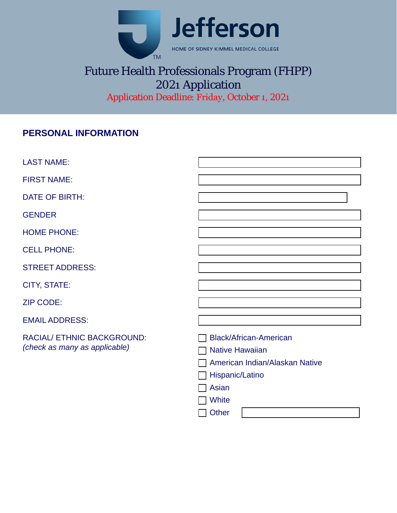

# Future Health Professionals Program (FHPP) 2021 Application Application Deadline: Friday, October 1, 2021

## **PERSONAL INFORMATION**

| <b>LAST NAME:</b>                                           |                                                                                                                                         |
|-------------------------------------------------------------|-----------------------------------------------------------------------------------------------------------------------------------------|
| <b>FIRST NAME:</b>                                          |                                                                                                                                         |
| <b>DATE OF BIRTH:</b>                                       |                                                                                                                                         |
| <b>GENDER</b>                                               |                                                                                                                                         |
| <b>HOME PHONE:</b>                                          |                                                                                                                                         |
| <b>CELL PHONE:</b>                                          |                                                                                                                                         |
| <b>STREET ADDRESS:</b>                                      |                                                                                                                                         |
| <b>CITY, STATE:</b>                                         |                                                                                                                                         |
| <b>ZIP CODE:</b>                                            |                                                                                                                                         |
| <b>EMAIL ADDRESS:</b>                                       |                                                                                                                                         |
| RACIAL/ ETHNIC BACKGROUND:<br>(check as many as applicable) | <b>Black/African-American</b><br><b>Native Hawaiian</b><br>American Indian/Alaskan Native<br>Hispanic/Latino<br>Asian<br>White<br>Other |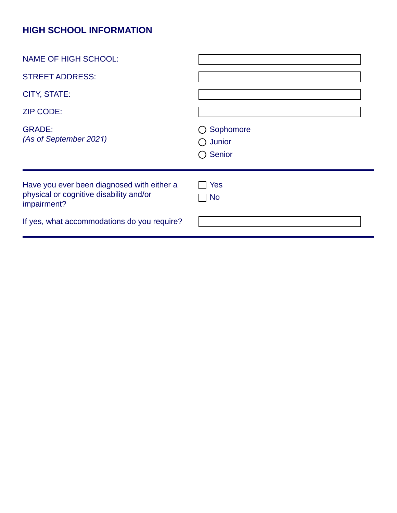## **HIGH SCHOOL INFORMATION**

| <b>NAME OF HIGH SCHOOL:</b>                                                                          |                                                       |
|------------------------------------------------------------------------------------------------------|-------------------------------------------------------|
| <b>STREET ADDRESS:</b>                                                                               |                                                       |
| <b>CITY, STATE:</b>                                                                                  |                                                       |
| <b>ZIP CODE:</b>                                                                                     |                                                       |
| <b>GRADE:</b><br>(As of September 2021)                                                              | ○ Sophomore<br>$\bigcirc$ Junior<br>$\bigcirc$ Senior |
| Have you ever been diagnosed with either a<br>physical or cognitive disability and/or<br>impairment? | Yes<br><b>No</b>                                      |
| If yes, what accommodations do you require?                                                          |                                                       |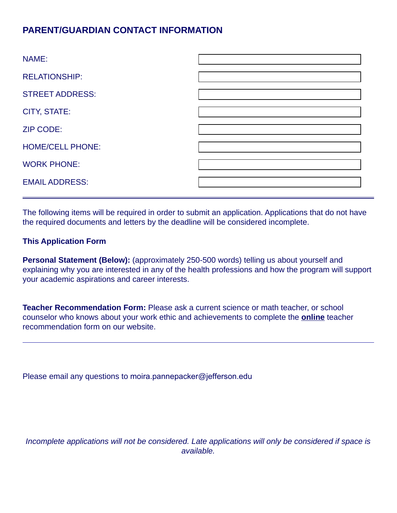## **PARENT/GUARDIAN CONTACT INFORMATION**

| NAME:                   |  |
|-------------------------|--|
| <b>RELATIONSHIP:</b>    |  |
| <b>STREET ADDRESS:</b>  |  |
| <b>CITY, STATE:</b>     |  |
| <b>ZIP CODE:</b>        |  |
| <b>HOME/CELL PHONE:</b> |  |
| <b>WORK PHONE:</b>      |  |
| <b>EMAIL ADDRESS:</b>   |  |

The following items will be required in order to submit an application. Applications that do not have the required documents and letters by the deadline will be considered incomplete.

#### **This Application Form**

**Personal Statement (Below):** (approximately 250-500 words) telling us about yourself and explaining why you are interested in any of the health professions and how the program will support your academic aspirations and career interests.

**Teacher Recommendation Form:** Please ask a current science or math teacher, or school counselor who knows about your work ethic and achievements to complete the **online** teacher recommendation form on our website.

Please email any questions to moira.pannepacker@jefferson.edu

*Incomplete applications will not be considered. Late applications will only be considered if space is available.*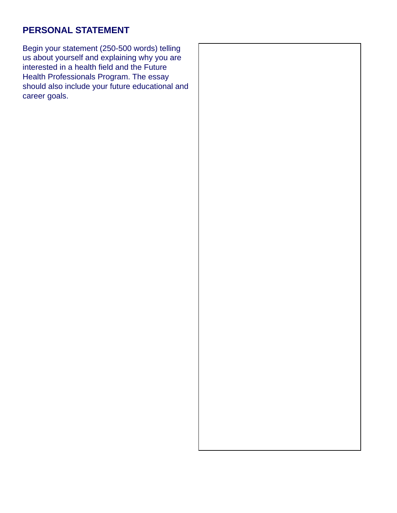## **PERSONAL STATEMENT**

Begin your statement (250-500 words) telling us about yourself and explaining why you are interested in a health field and the Future Health Professionals Program. The essay should also include your future educational and career goals.